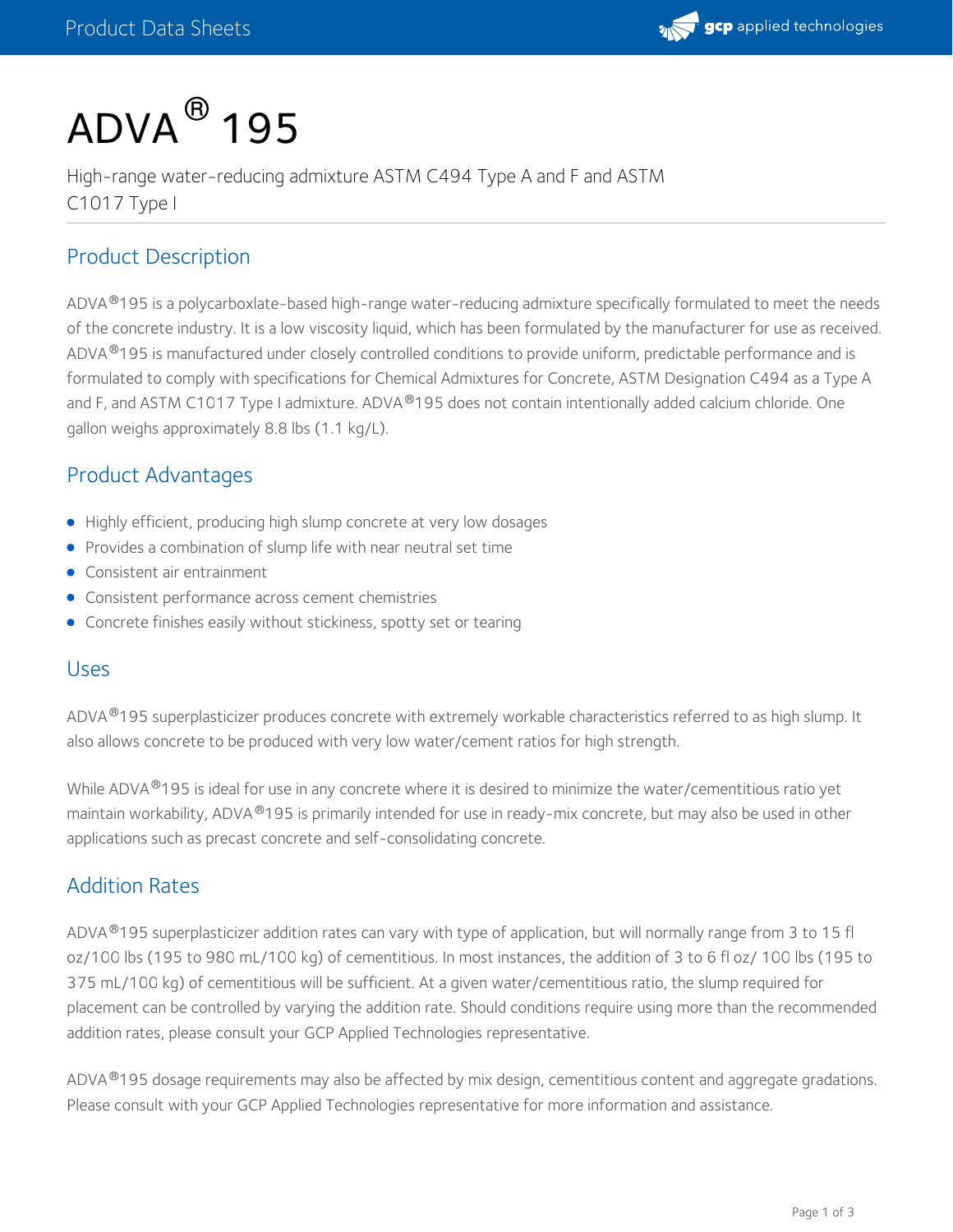

# $\mathsf{ADVA}^{\, \circledR}$  195

High-range water-reducing admixture ASTM C494 Type A and F and ASTM C1017 Type I

## Product Description

ADVA®195 is a polycarboxlate-based high-range water-reducing admixture specifically formulated to meet the needs of the concrete industry. It is a low viscosity liquid, which has been formulated by the manufacturer for use as received. ADVA 195 is manufactured under closely controlled conditions to provide uniform, predictable performance and is ® formulated to comply with specifications for Chemical Admixtures for Concrete, ASTM Designation C494 as a Type A and F, and ASTM C1017 Type I admixture. ADVA®195 does not contain intentionally added calcium chloride. One gallon weighs approximately 8.8 lbs (1.1 kg/L).

#### Product Advantages

- Highly efficient, producing high slump concrete at very low dosages
- **•** Provides a combination of slump life with near neutral set time
- Consistent air entrainment
- Consistent performance across cement chemistries
- Concrete finishes easily without stickiness, spotty set or tearing

#### Uses

ADVA®195 superplasticizer produces concrete with extremely workable characteristics referred to as high slump. It also allows concrete to be produced with very low water/cement ratios for high strength.

While ADVA®195 is ideal for use in any concrete where it is desired to minimize the water/cementitious ratio yet maintain workability, ADVA 195 is primarily intended for use in ready-mix concrete, but may also be used in other ® applications such as precast concrete and self-consolidating concrete.

#### Addition Rates

ADVA®195 superplasticizer addition rates can vary with type of application, but will normally range from 3 to 15 fl oz/100 lbs (195 to 980 mL/100 kg) of cementitious. In most instances, the addition of 3 to 6 fl oz/ 100 lbs (195 to 375 mL/100 kg) of cementitious will be sufficient. At a given water/cementitious ratio, the slump required for placement can be controlled by varying the addition rate. Should conditions require using more than the recommended addition rates, please consult your GCP Applied Technologies representative.

ADVA®195 dosage requirements may also be affected by mix design, cementitious content and aggregate gradations. Please consult with your GCP Applied Technologies representative for more information and assistance.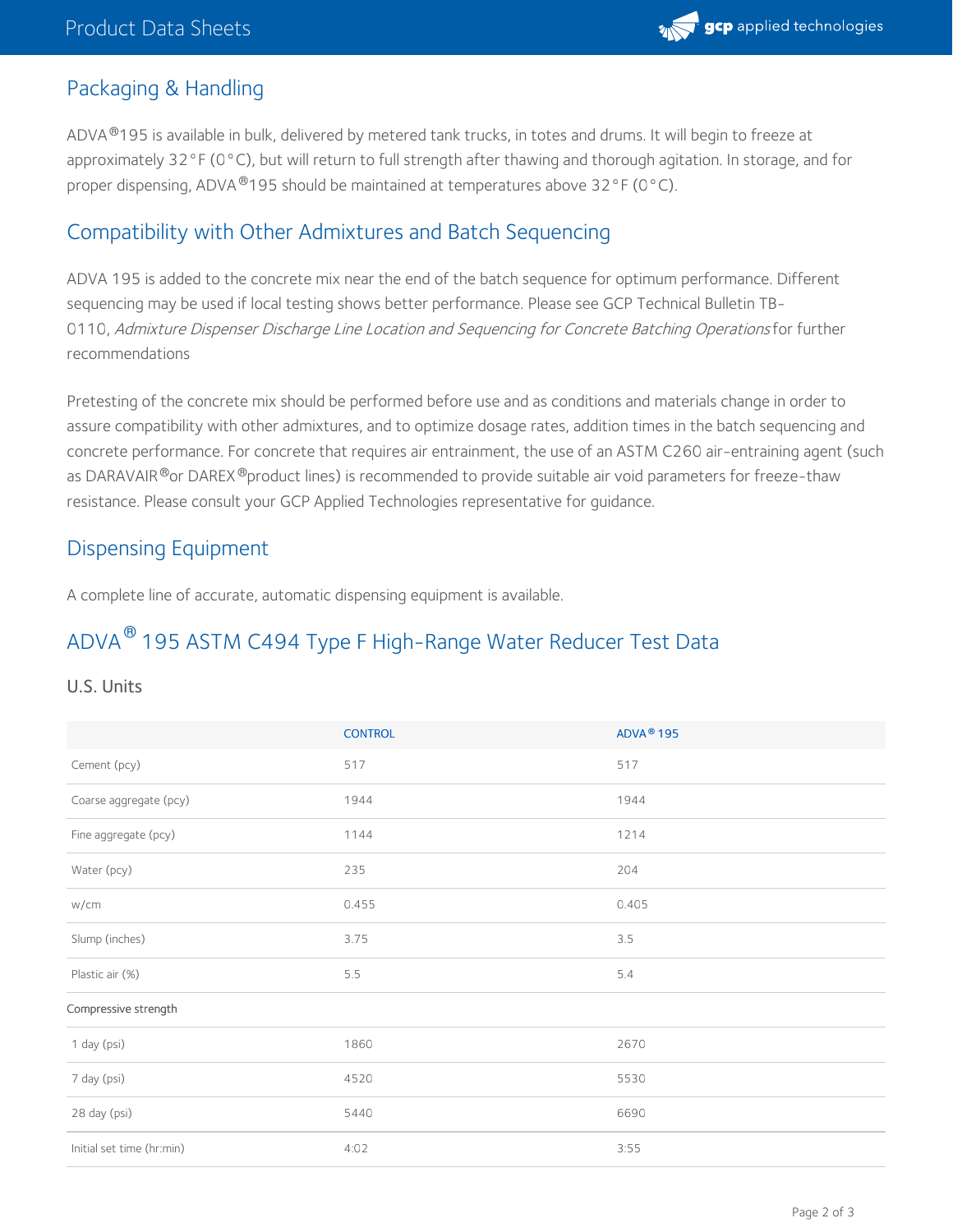

### Packaging & Handling

ADVA®195 is available in bulk, delivered by metered tank trucks, in totes and drums. It will begin to freeze at approximately 32°F (0°C), but will return to full strength after thawing and thorough agitation. In storage, and for proper dispensing, ADVA <sup>®</sup>195 should be maintained at temperatures above 32°F (0°C).

#### Compatibility with Other Admixtures and Batch Sequencing

ADVA 195 is added to the concrete mix near the end of the batch sequence for optimum performance. Different sequencing may be used iflocal testing shows better performance. Please see GCP Technical Bulletin TB- 0110, Admixture Dispenser Discharge Line Location and Sequencing for Concrete Batching Operations for further recommendations

Pretesting of the concrete mix should be performed before use and as conditions and materials change in order to assure compatibility with other admixtures, and to optimize dosage rates, addition times in the batch sequencing and concrete performance. For concrete that requires air entrainment, the use of an ASTM C260 air-entraining agent (such as DARAVAIR®or DAREX®product lines) is recommended to provide suitable air void parameters for freeze-thaw resistance. Please consult your GCP Applied Technologies representative for guidance.

#### Dispensing Equipment

A complete line of accurate, automatic dispensing equipment is available.

## ADVA $^\circledR$  195 ASTM C494 Type F High-Range Water Reducer Test Data

#### U.S. Units

|                           | <b>CONTROL</b> | ADVA <sup>®</sup> 195 |
|---------------------------|----------------|-----------------------|
| Cement (pcy)              | 517            | 517                   |
| Coarse aggregate (pcy)    | 1944           | 1944                  |
| Fine aggregate (pcy)      | 1144           | 1214                  |
| Water (pcy)               | 235            | 204                   |
| w/cm                      | 0.455          | 0.405                 |
| Slump (inches)            | 3.75           | 3.5                   |
| Plastic air (%)           | 5.5            | 5.4                   |
| Compressive strength      |                |                       |
| 1 day (psi)               | 1860           | 2670                  |
| 7 day (psi)               | 4520           | 5530                  |
| 28 day (psi)              | 5440           | 6690                  |
| Initial set time (hr:min) | 4:02           | 3:55                  |